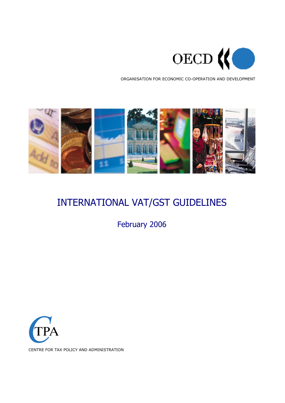

ORGANISATION FOR ECONOMIC CO-OPERATION AND DEVELOPMENT



# INTERNATIONAL VAT/GST GUIDELINES

February 2006

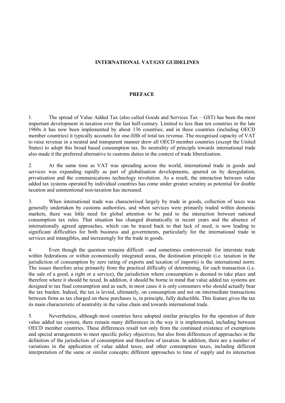#### **INTERNATIONAL VAT/GST GUIDELINES**

#### **PREFACE**

1. The spread of Value Added Tax (also called Goods and Services Tax – GST) has been the most important development in taxation over the last half-century. Limited to less than ten countries in the late 1960s it has now been implemented by about 136 countries; and in these countries (including OECD member countries) it typically accounts for one-fifth of total tax revenue. The recognised capacity of VAT to raise revenue in a neutral and transparent manner drew all OECD member countries (except the United States) to adopt this broad based consumption tax. Its neutrality of principle towards international trade also made it the preferred alternative to customs duties in the context of trade liberalisation.

2. At the same time as VAT was spreading across the world, international trade in goods and services was expanding rapidly as part of globalisation developments, spurred on by deregulation, privatisation and the communications technology revolution. As a result, the interaction between value added tax systems operated by individual countries has come under greater scrutiny as potential for double taxation and unintentional non-taxation has increased.

3. When international trade was characterised largely by trade in goods, collection of taxes was generally undertaken by customs authorities, and when services were primarily traded within domestic markets, there was little need for global attention to be paid to the interaction between national consumption tax rules. That situation has changed dramatically in recent years and the absence of internationally agreed approaches, which can be traced back to that lack of need, is now leading to significant difficulties for both business and governments, particularly for the international trade in services and intangibles, and increasingly for the trade in goods.

4. Even though the question remains difficult –and sometimes controversial- for interstate trade within federations or within economically integrated areas, the destination principle (i.e. taxation in the jurisdiction of consumption by zero rating of exports and taxation of imports) is the international norm. The issues therefore arise primarily from the practical difficulty of determining, for each transaction (i.e. the sale of a good, a right or a service), the jurisdiction where consumption is deemed to take place and therefore where it should be taxed. In addition, it should be borne in mind that value added tax systems are designed to tax final consumption and as such, in most cases it is only consumers who should actually bear the tax burden. Indeed, the tax is levied, ultimately, on consumption and not on intermediate transactions between firms as tax charged on these purchases is, in principle, fully deductible. This feature gives the tax its main characteristic of neutrality in the value chain and towards international trade.

5. Nevertheless, although most countries have adopted similar principles for the operation of their value added tax system, there remain many differences in the way it is implemented, including between OECD member countries. These differences result not only from the continued existence of exemptions and special arrangements to meet specific policy objectives, but also from differences of approaches in the definition of the jurisdiction of consumption and therefore of taxation. In addition, there are a number of variations in the application of value added taxes, and other consumption taxes, including different interpretation of the same or similar concepts; different approaches to time of supply and its interaction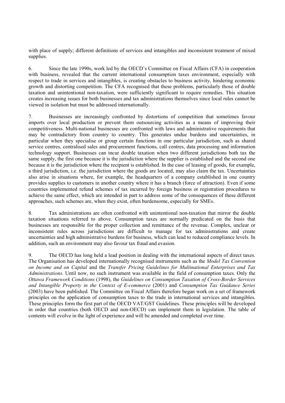with place of supply; different definitions of services and intangibles and inconsistent treatment of mixed supplies.

6. Since the late 1990s, work led by the OECD's Committee on Fiscal Affairs (CFA) in cooperation with business, revealed that the current international consumption taxes environment, especially with respect to trade in services and intangibles, is creating obstacles to business activity, hindering economic growth and distorting competition. The CFA recognised that these problems, particularly those of double taxation and unintentional non-taxation, were sufficiently significant to require remedies. This situation creates increasing issues for both businesses and tax administrations themselves since local rules cannot be viewed in isolation but must be addressed internationally.

7. Businesses are increasingly confronted by distortions of competition that sometimes favour imports over local production or prevent them outsourcing activities as a means of improving their competitiveness. Multi-national businesses are confronted with laws and administrative requirements that may be contradictory from country to country. This generates undue burdens and uncertainties, in particular when they specialise or group certain functions in one particular jurisdiction, such as shared service centres, centralised sales and procurement functions, call centres, data processing and information technology support. Businesses can incur double taxation when two different jurisdictions both tax the same supply, the first one because it is the jurisdiction where the supplier is established and the second one because it is the jurisdiction where the recipient is established. In the case of leasing of goods, for example, a third jurisdiction, i.e. the jurisdiction where the goods are located, may also claim the tax. Uncertainties also arise in situations where, for example, the headquarters of a company established in one country provides supplies to customers in another country where it has a branch (force of attraction). Even if some countries implemented refund schemes of tax incurred by foreign business or registration procedures to achieve the same effect, which are intended in part to address some of the consequences of these different approaches, such schemes are, when they exist, often burdensome, especially for SMEs.

8. Tax administrations are often confronted with unintentional non-taxation that mirror the double taxation situations referred to above. Consumption taxes are normally predicated on the basis that businesses are responsible for the proper collection and remittance of the revenue. Complex, unclear or inconsistent rules across jurisdictions are difficult to manage for tax administrations and create uncertainties and high administrative burdens for business, which can lead to reduced compliance levels. In addition, such an environment may also favour tax fraud and evasion.

9. The OECD has long held a lead position in dealing with the international aspects of direct taxes. The Organisation has developed internationally recognised instruments such as the *Model Tax Convention on Income and on Capital* and the *Transfer Pricing Guidelines for Multinational Enterprises and Tax Administrations.* Until now, no such instrument was available in the field of consumption taxes. Only the *Ottawa Framework Conditions* (1998), the *Guidelines on Consumption Taxation of Cross-Border Services and Intangible Property in the Context of E-commerce* (2001) and *Consumption Tax Guidance Series* (2003) have been published. The Committee on Fiscal Affairs therefore began work on a set of framework principles on the application of consumption taxes to the trade in international services and intangibles. These principles form the first part of the OECD VAT/GST Guidelines. These principles will be developed in order that countries (both OECD and non-OECD) can implement them in legislation. The table of contents will evolve in the light of experience and will be amended and completed over time.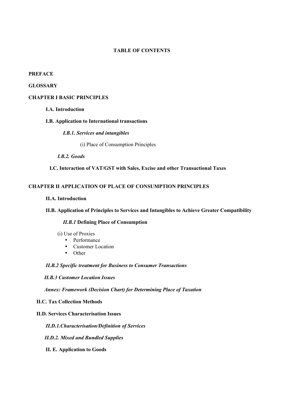## **TABLE OF CONTENTS**

#### **PREFACE**

#### **GLOSSARY**

## **CHAPTER I BASIC PRINCIPLES**

#### **I.A. Introduction**

# **I.B. Application to International transactions**

#### *I.B.1. Services and intangibles*

(i) Place of Consumption Principles

## *I.B.2. Goods*

### **I.C. Interaction of VAT/GST with Sales, Excise and other Transactional Taxes**

# **CHAPTER II APPLICATION OF PLACE OF CONSUMPTION PRINCIPLES**

## **II.A. Introduction**

#### **II.B. Application of Principles to Services and Intangibles to Achieve Greater Compatibility**

#### *II.B.1* **Defining Place of Consumption**

- (i) Use of Proxies
	- Performance
	- Customer Location
	- Other

## *II.B.2 Specific treatment for Business to Consumer Transactions*

#### *II.B.3 Customer Location Issues*

 *Annex: Framework (Decision Chart) for Determining Place of Taxation* 

## **II.C. Tax Collection Methods**

## **II.D. Services Characterisation Issues**

#### *II.D.1.Characterisation/Definition of Services*

#### *II.D.2. Mixed and Bundled Supplies*

 **II. E. Application to Goods**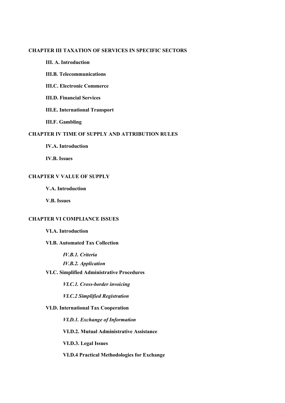# **CHAPTER III TAXATION OF SERVICES IN SPECIFIC SECTORS**

- **III. A. Introduction**
- **III.B. Telecommunications**
- **III.C. Electronic Commerce**
- **III.D. Financial Services**

#### **III.E. International Transport**

 **III.F. Gambling** 

# **CHAPTER IV TIME OF SUPPLY AND ATTRIBUTION RULES**

 **IV.A. Introduction** 

 **IV.B. Issues** 

## **CHAPTER V VALUE OF SUPPLY**

 **V.A. Introduction** 

 **V.B. Issues** 

## **CHAPTER VI COMPLIANCE ISSUES**

 **VI.A. Introduction** 

## **VI.B. Automated Tax Collection**

*IV.B.1. Criteria* *IV.B.2. Application*

## **VI.C. Simplified Administrative Procedures**

*VI.C.1. Cross-border invoicing* 

 *VI.C.2 Simplified Registration*

#### **VI.D. International Tax Cooperation**

*VI.D.1. Exchange of Information* 

 **VI.D.2. Mutual Administrative Assistance** 

 **VI.D.3. Legal Issues** 

 **VI.D.4 Practical Methodologies for Exchange**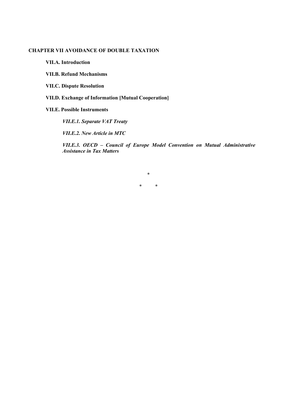# **CHAPTER VII AVOIDANCE OF DOUBLE TAXATION**

 **VII.A. Introduction** 

 **VII.B. Refund Mechanisms** 

 **VII.C. Dispute Resolution** 

 **VII.D. Exchange of Information [Mutual Cooperation]** 

 **VII.E. Possible Instruments** 

*VII.E.1. Separate VAT Treaty* 

*VII.E.2. New Article in MTC* 

*VII.E.3. OECD – Council of Europe Model Convention on Mutual Administrative Assistance in Tax Matters* 

> \* \* \*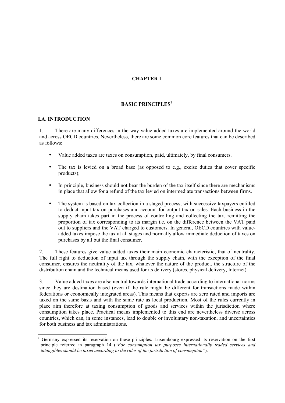# **CHAPTER I**

## **BASIC PRINCIPLES1**

## **I.A. INTRODUCTION**

1. There are many differences in the way value added taxes are implemented around the world and across OECD countries. Nevertheless, there are some common core features that can be described as follows:

- Value added taxes are taxes on consumption, paid, ultimately, by final consumers.
- The tax is levied on a broad base (as opposed to e.g., excise duties that cover specific products);
- In principle, business should not bear the burden of the tax itself since there are mechanisms in place that allow for a refund of the tax levied on intermediate transactions between firms.
- The system is based on tax collection in a staged process, with successive taxpayers entitled to deduct input tax on purchases and account for output tax on sales. Each business in the supply chain takes part in the process of controlling and collecting the tax, remitting the proportion of tax corresponding to its margin i.e. on the difference between the VAT paid out to suppliers and the VAT charged to customers. In general, OECD countries with valueadded taxes impose the tax at all stages and normally allow immediate deduction of taxes on purchases by all but the final consumer.

2. These features give value added taxes their main economic characteristic, that of neutrality. The full right to deduction of input tax through the supply chain, with the exception of the final consumer, ensures the neutrality of the tax, whatever the nature of the product, the structure of the distribution chain and the technical means used for its delivery (stores, physical delivery, Internet).

3. Value added taxes are also neutral towards international trade according to international norms since they are destination based (even if the rule might be different for transactions made within federations or economically integrated areas). This means that exports are zero rated and imports are taxed on the same basis and with the same rate as local production. Most of the rules currently in place aim therefore at taxing consumption of goods and services within the jurisdiction where consumption takes place. Practical means implemented to this end are nevertheless diverse across countries, which can, in some instances, lead to double or involuntary non-taxation, and uncertainties for both business and tax administrations.

 $\overline{\phantom{a}}$ 1 Germany expressed its reservation on these principles. Luxembourg expressed its reservation on the first principle referred in paragraph 14 ("*For consumption tax purposes internationally traded services and intangibles should be taxed according to the rules of the jurisdiction of consumption"*).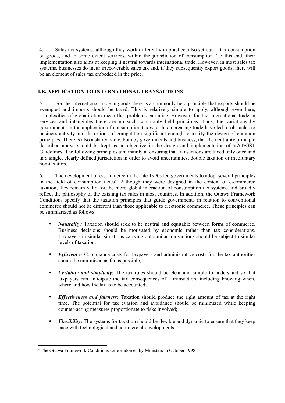4. Sales tax systems, although they work differently in practice, also set out to tax consumption of goods, and to some extent services, within the jurisdiction of consumption. To this end, their implementation also aims at keeping it neutral towards international trade. However, in most sales tax systems, businesses do incur irrecoverable sales tax and, if they subsequently export goods, there will be an element of sales tax embedded in the price.

## **I.B. APPLICATION TO INTERNATIONAL TRANSACTIONS**

5. For the international trade in goods there is a commonly held principle that exports should be exempted and imports should be taxed. This is relatively simple to apply, although even here, complexities of globalisation mean that problems can arise. However, for the international trade in services and intangibles there are no such commonly held principles. Thus, the variations by governments in the application of consumption taxes to this increasing trade have led to obstacles to business activity and distortions of competition significant enough to justify the design of common principles. There is also a shared view, both by governments and business, that the neutrality principle described above should be kept as an objective in the design and implementation of VAT/GST Guidelines. The following principles aim mainly at ensuring that transactions are taxed only once and in a single, clearly defined jurisdiction in order to avoid uncertainties, double taxation or involuntary non-taxation.

6. The development of e-commerce in the late 1990s led governments to adopt several principles in the field of consumption taxes<sup>2</sup>. Although they were designed in the context of e-commerce taxation, they remain valid for the more global interaction of consumption tax systems and broadly reflect the philosophy of the existing tax rules in most countries. In addition, the Ottawa Framework Conditions specify that the taxation principles that guide governments in relation to conventional commerce should not be different than those applicable to electronic commerce. These principles can be summarized as follows:

- *Neutrality:* Taxation should seek to be neutral and equitable between forms of commerce. Business decisions should be motivated by economic rather than tax considerations. Taxpayers in similar situations carrying out similar transactions should be subject to similar levels of taxation.
- *Efficiency:* Compliance costs for taxpayers and administrative costs for the tax authorities should be minimized as far as possible;
- *Certainty and simplicity:* The tax rules should be clear and simple to understand so that taxpayers can anticipate the tax consequences of a transaction, including knowing when, where and how the tax is to be accounted;
- *Effectiveness and fairness:* Taxation should produce the right amount of tax at the right time. The potential for tax evasion and avoidance should be minimized while keeping counter-acting measures proportionate to risks involved;
- *Flexibility:* The systems for taxation should be flexible and dynamic to ensure that they keep pace with technological and commercial developments;

 2 The Ottawa Framework Conditions were endorsed by Ministers in October 1998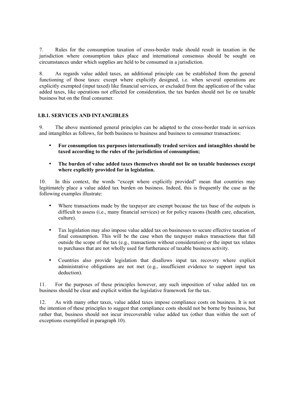7. Rules for the consumption taxation of cross-border trade should result in taxation in the jurisdiction where consumption takes place and international consensus should be sought on circumstances under which supplies are held to be consumed in a jurisdiction.

8. As regards value added taxes, an additional principle can be established from the general functioning of those taxes: except where explicitly designed, i.e. when several operations are explicitly exempted (input taxed) like financial services, or excluded from the application of the value added taxes, like operations not effected for consideration, the tax burden should not lie on taxable business but on the final consumer.

## **I.B.1. SERVICES AND INTANGIBLES**

9. The above mentioned general principles can be adapted to the cross-border trade in services and intangibles as follows, for both business to business and business to consumer transactions:

- **For consumption tax purposes internationally traded services and intangibles should be taxed according to the rules of the jurisdiction of consumption;**
- **The burden of value added taxes themselves should not lie on taxable businesses except where explicitly provided for in legislation.**

10. In this context, the words "except where explicitly provided" mean that countries may legitimately place a value added tax burden on business. Indeed, this is frequently the case as the following examples illustrate:

- Where transactions made by the taxpayer are exempt because the tax base of the outputs is difficult to assess (i.e., many financial services) or for policy reasons (health care, education, culture).
- Tax legislation may also impose value added tax on businesses to secure effective taxation of final consumption. This will be the case when the taxpayer makes transactions that fall outside the scope of the tax (e.g., transactions without consideration) or the input tax relates to purchases that are not wholly used for furtherance of taxable business activity.
- Countries also provide legislation that disallows input tax recovery where explicit administrative obligations are not met (e.g., insufficient evidence to support input tax deduction).

11. For the purposes of these principles however, any such imposition of value added tax on business should be clear and explicit within the legislative framework for the tax.

12. As with many other taxes, value added taxes impose compliance costs on business. It is not the intention of these principles to suggest that compliance costs should not be borne by business, but rather that, business should not incur irrecoverable value added tax (other than within the sort of exceptions exemplified in paragraph 10).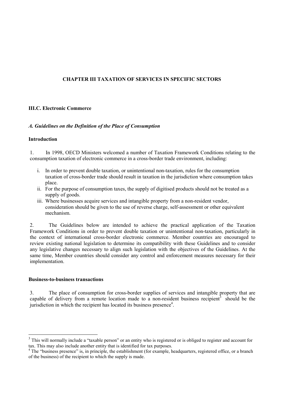## **CHAPTER III TAXATION OF SERVICES IN SPECIFIC SECTORS**

#### **III.C. Electronic Commerce**

#### *A. Guidelines on the Definition of the Place of Consumption*

#### **Introduction**

1. In 1998, OECD Ministers welcomed a number of Taxation Framework Conditions relating to the consumption taxation of electronic commerce in a cross-border trade environment, including:

- i. In order to prevent double taxation, or unintentional non-taxation, rules for the consumption taxation of cross-border trade should result in taxation in the jurisdiction where consumption takes place.
- ii. For the purpose of consumption taxes, the supply of digitised products should not be treated as a supply of goods.
- iii. Where businesses acquire services and intangible property from a non-resident vendor, consideration should be given to the use of reverse charge, self-assessment or other equivalent mechanism.

2. The Guidelines below are intended to achieve the practical application of the Taxation Framework Conditions in order to prevent double taxation or unintentional non-taxation, particularly in the context of international cross-border electronic commerce. Member countries are encouraged to review existing national legislation to determine its compatibility with these Guidelines and to consider any legislative changes necessary to align such legislation with the objectives of the Guidelines. At the same time, Member countries should consider any control and enforcement measures necessary for their implementation.

#### **Business-to-business transactions**

 $\overline{a}$ 

3. The place of consumption for cross-border supplies of services and intangible property that are capable of delivery from a remote location made to a non-resident business recipient<sup>3</sup> should be the jurisdiction in which the recipient has located its business presence<sup>4</sup>.

<sup>&</sup>lt;sup>3</sup> This will normally include a "taxable person" or an entity who is registered or is obliged to register and account for tax. This may also include another entity that is identified for tax purposes.

<sup>&</sup>lt;sup>4</sup> The "business presence" is, in principle, the establishment (for example, headquarters, registered office, or a branch of the business) of the recipient to which the supply is made.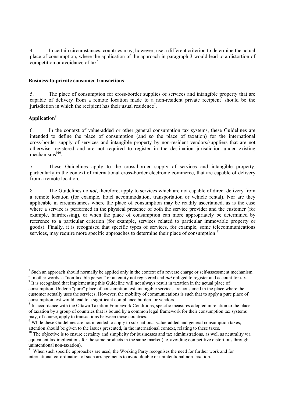4. In certain circumstances, countries may, however, use a different criterion to determine the actual place of consumption, where the application of the approach in paragraph 3 would lead to a distortion of competition or avoidance of tax<sup>5</sup>.

#### **Business-to-private consumer transactions**

5. The place of consumption for cross-border supplies of services and intangible property that are capable of delivery from a remote location made to a non-resident private recipient<sup>6</sup> should be the jurisdiction in which the recipient has their usual residence<sup>7</sup>.

## **Application8**

6. In the context of value-added or other general consumption tax systems, these Guidelines are intended to define the place of consumption (and so the place of taxation) for the international cross-border supply of services and intangible property by non-resident vendors/suppliers that are not otherwise registered and are not required to register in the destination jurisdiction under existing mechanisms $910$ 

7. These Guidelines apply to the cross-border supply of services and intangible property, particularly in the context of international cross-border electronic commerce, that are capable of delivery from a remote location.

8. The Guidelines do *not*, therefore, apply to services which are not capable of direct delivery from a remote location (for example, hotel accommodation, transportation or vehicle rental). Nor are they applicable in circumstances where the place of consumption may be readily ascertained, as is the case where a service is performed in the physical presence of both the service provider and the customer (for example, hairdressing), or when the place of consumption can more appropriately be determined by reference to a particular criterion (for example, services related to particular immovable property or goods). Finally, it is recognised that specific types of services, for example, some telecommunications services, may require more specific approaches to determine their place of consumption <sup>11</sup>

<sup>&</sup>lt;sup>5</sup> Such an approach should normally be applied only in the context of a reverse charge or self-assessment mechanism.

<sup>&</sup>lt;sup>6</sup> In other words, a "non-taxable person" or an entity not registered and *not* obliged to register and account for tax.  $<sup>7</sup>$  It is recognised that implementing this Guideline will not always result in taxation in the actual place of</sup> consumption. Under a "pure" place of consumption test, intangible services are consumed in the place where the customer actually uses the services. However, the mobility of communications is such that to apply a pure place of consumption test would lead to a significant compliance burden for vendors.

<sup>&</sup>lt;sup>8</sup> In accordance with the Ottawa Taxation Framework Conditions, specific measures adopted in relation to the place of taxation by a group of countries that is bound by a common legal framework for their consumption tax systems may, of course, apply to transactions between those countries.

<sup>&</sup>lt;sup>9</sup> While these Guidelines are not intended to apply to sub-national value-added and general consumption taxes, attention should be given to the issues presented, in the international context, relating to these taxes.

 $10$  The objective is to ensure certainty and simplicity for businesses and tax administrations, as well as neutrality via equivalent tax implications for the same products in the same market (i.e. avoiding competitive distortions through unintentional non-taxation).

<sup>&</sup>lt;sup>11</sup> When such specific approaches are used, the Working Party recognises the need for further work and for international co-ordination of such arrangements to avoid double or unintentional non-taxation.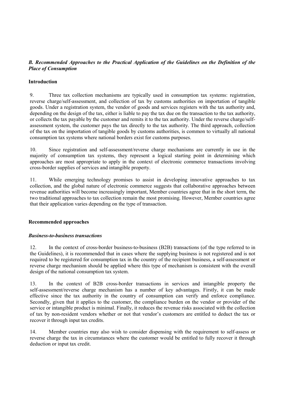## *B. Recommended Approaches to the Practical Application of the Guidelines on the Definition of the Place of Consumption*

#### **Introduction**

9. Three tax collection mechanisms are typically used in consumption tax systems: registration, reverse charge/self-assessment, and collection of tax by customs authorities on importation of tangible goods. Under a registration system, the vendor of goods and services registers with the tax authority and, depending on the design of the tax, either is liable to pay the tax due on the transaction to the tax authority, or collects the tax payable by the customer and remits it to the tax authority. Under the reverse charge/selfassessment system, the customer pays the tax directly to the tax authority. The third approach, collection of the tax on the importation of tangible goods by customs authorities, is common to virtually all national consumption tax systems where national borders exist for customs purposes.

10. Since registration and self-assessment/reverse charge mechanisms are currently in use in the majority of consumption tax systems, they represent a logical starting point in determining which approaches are most appropriate to apply in the context of electronic commerce transactions involving cross-border supplies of services and intangible property.

11. While emerging technology promises to assist in developing innovative approaches to tax collection, and the global nature of electronic commerce suggests that collaborative approaches between revenue authorities will become increasingly important, Member countries agree that in the short term, the two traditional approaches to tax collection remain the most promising. However, Member countries agree that their application varies depending on the type of transaction.

#### **Recommended approaches**

#### *Business-to-business transactions*

12. In the context of cross-border business-to-business (B2B) transactions (of the type referred to in the Guidelines), it is recommended that in cases where the supplying business is not registered and is not required to be registered for consumption tax in the country of the recipient business, a self-assessment or reverse charge mechanism should be applied where this type of mechanism is consistent with the overall design of the national consumption tax system.

13. In the context of B2B cross-border transactions in services and intangible property the self-assessment/reverse charge mechanism has a number of key advantages. Firstly, it can be made effective since the tax authority in the country of consumption can verify and enforce compliance. Secondly, given that it applies to the customer, the compliance burden on the vendor or provider of the service or intangible product is minimal. Finally, it reduces the revenue risks associated with the collection of tax by non-resident vendors whether or not that vendor's customers are entitled to deduct the tax or recover it through input tax credits.

14. Member countries may also wish to consider dispensing with the requirement to self-assess or reverse charge the tax in circumstances where the customer would be entitled to fully recover it through deduction or input tax credit.